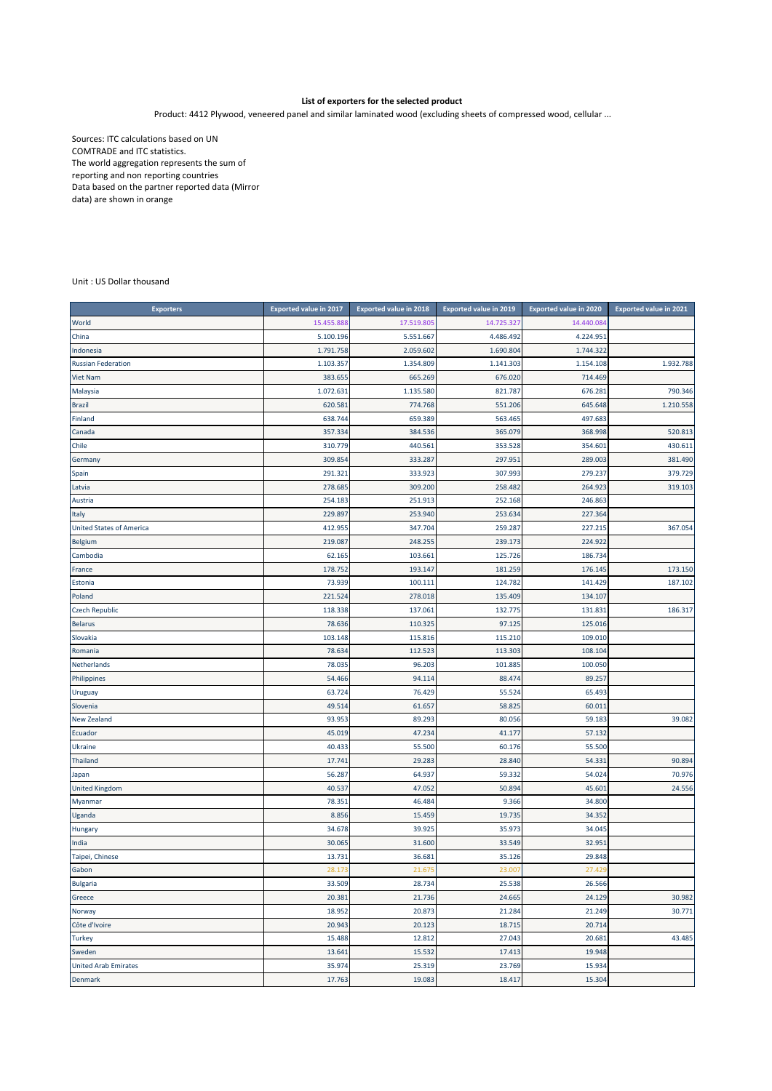## **List of exporters for the selected product**

Product: 4412 Plywood, veneered panel and similar laminated wood (excluding sheets of compressed wood, cellular ...

Sources: ITC calculations based on UN COMTRADE and ITC statistics. The world aggregation represents the sum of reporting and non reporting countries Data based on the partner reported data (Mirror data) are shown in orange

Unit : US Dollar thousand

| <b>Exporters</b>                | <b>Exported value in 2017</b> | <b>Exported value in 2018</b> | <b>Exported value in 2019</b> | <b>Exported value in 2020</b> | <b>Exported value in 2021</b> |
|---------------------------------|-------------------------------|-------------------------------|-------------------------------|-------------------------------|-------------------------------|
| World                           | 15.455.888                    | 17.519.805                    | 14.725.327                    | 14.440.084                    |                               |
| China                           | 5.100.196                     | 5.551.667                     | 4.486.492                     | 4.224.951                     |                               |
| Indonesia                       | 1.791.758                     | 2.059.602                     | 1.690.804                     | 1.744.322                     |                               |
| <b>Russian Federation</b>       | 1.103.357                     | 1.354.809                     | 1.141.303                     | 1.154.108                     | 1.932.788                     |
| <b>Viet Nam</b>                 | 383.655                       | 665.269                       | 676.020                       | 714.469                       |                               |
| Malaysia                        | 1.072.631                     | 1.135.580                     | 821.787                       | 676.281                       | 790.346                       |
| <b>Brazil</b>                   | 620.581                       | 774.768                       | 551.206                       | 645.648                       | 1.210.558                     |
| Finland                         | 638.744                       | 659.389                       | 563.465                       | 497.683                       |                               |
| Canada                          | 357.334                       | 384.536                       | 365.079                       | 368.998                       | 520.813                       |
| Chile                           | 310.779                       | 440.561                       | 353.528                       | 354.601                       | 430.611                       |
| Germany                         | 309.854                       | 333.287                       | 297.951                       | 289.003                       | 381.490                       |
| Spain                           | 291.321                       | 333.923                       | 307.993                       | 279.237                       | 379.729                       |
| Latvia                          | 278.685                       | 309.200                       | 258.482                       | 264.923                       | 319.103                       |
| Austria                         | 254.183                       | 251.913                       | 252.168                       | 246.863                       |                               |
| Italy                           | 229.897                       | 253.940                       | 253.634                       | 227.364                       |                               |
| <b>United States of America</b> | 412.955                       | 347.704                       | 259.287                       | 227.215                       | 367.054                       |
| <b>Belgium</b>                  | 219.087                       | 248.255                       | 239.173                       | 224.922                       |                               |
| Cambodia                        | 62.165                        | 103.661                       | 125.726                       | 186.734                       |                               |
| France                          | 178.752                       | 193.147                       | 181.259                       | 176.145                       | 173.150                       |
| Estonia                         | 73.939                        | 100.111                       | 124.782                       | 141.429                       | 187.102                       |
| Poland                          | 221.524                       | 278.018                       | 135.409                       | 134.107                       |                               |
| <b>Czech Republic</b>           | 118.338                       | 137.061                       | 132.775                       | 131.831                       | 186.317                       |
| <b>Belarus</b>                  | 78.636                        | 110.325                       | 97.125                        | 125.016                       |                               |
| Slovakia                        | 103.148                       | 115.816                       | 115.210                       | 109.010                       |                               |
| Romania                         | 78.634                        | 112.523                       | 113.303                       | 108.104                       |                               |
| Netherlands                     | 78.035                        | 96.203                        | 101.885                       | 100.050                       |                               |
| Philippines                     | 54.466                        | 94.114                        | 88.474                        | 89.257                        |                               |
| Uruguay                         | 63.724                        | 76.429                        | 55.524                        | 65.493                        |                               |
| Slovenia                        | 49.514                        | 61.657                        | 58.825                        | 60.011                        |                               |
| New Zealand                     | 93.953                        | 89.293                        | 80.056                        | 59.183                        | 39.082                        |
| Ecuador                         | 45.019                        | 47.234                        | 41.177                        | 57.132                        |                               |
| <b>Ukraine</b>                  | 40.433                        | 55.500                        | 60.176                        | 55.500                        |                               |
| <b>Thailand</b>                 | 17.741                        | 29.283                        | 28.840                        | 54.331                        | 90.894                        |
| Japan                           | 56.287                        | 64.937                        | 59.332                        | 54.024                        | 70.976                        |
| <b>United Kingdom</b>           | 40.537                        | 47.052                        | 50.894                        | 45.601                        | 24.556                        |
| Myanmar                         | 78.351                        | 46.484                        | 9.366                         | 34.800                        |                               |
| Uganda                          | 8.856                         | 15.459                        | 19.735                        | 34.352                        |                               |
| Hungary                         | 34.678                        | 39.925                        | 35.973                        | 34.045                        |                               |
| India                           | 30.065                        | 31.600                        | 33.549                        | 32.951                        |                               |
| Taipei, Chinese                 | 13.731                        | 36.681                        | 35.126                        | 29.848                        |                               |
| Gabon                           | 28.173                        | 21.675                        | 23.007                        | 27.429                        |                               |
| Bulgaria                        | 33.509                        | 28.734                        | 25.538                        | 26.566                        |                               |
| Greece                          | 20.381                        | 21.736                        | 24.665                        | 24.129                        | 30.982                        |
| Norway                          | 18.952                        | 20.873                        | 21.284                        | 21.249                        | 30.771                        |
| Côte d'Ivoire                   | 20.943                        | 20.123                        | 18.715                        | 20.714                        |                               |
| <b>Turkey</b>                   | 15.488                        | 12.812                        | 27.043                        | 20.681                        | 43.485                        |
| Sweden                          | 13.641                        | 15.532                        | 17.413                        | 19.948                        |                               |
| <b>United Arab Emirates</b>     | 35.974                        | 25.319                        | 23.769                        | 15.934                        |                               |
| <b>Denmark</b>                  | 17.763                        | 19.083                        | 18.417                        | 15.304                        |                               |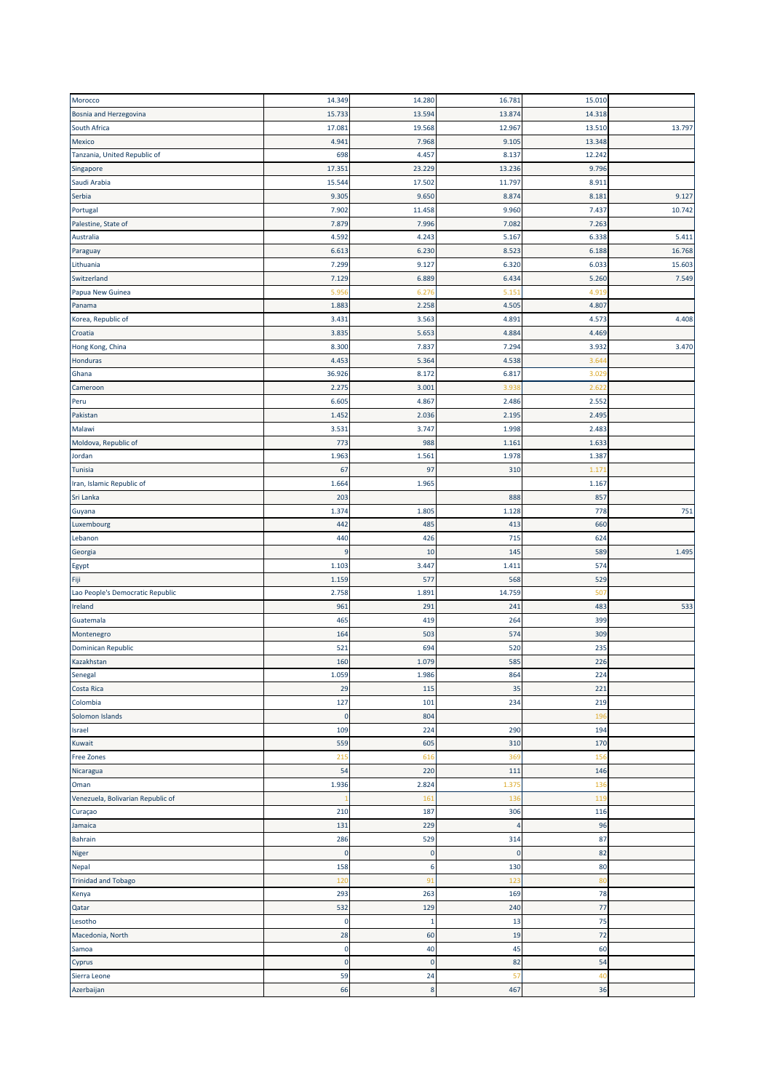| Morocco                           | 14.349      | 14.280      | 16.781                | 15.010 |        |
|-----------------------------------|-------------|-------------|-----------------------|--------|--------|
| Bosnia and Herzegovina            | 15.733      | 13.594      | 13.874                | 14.318 |        |
| South Africa                      | 17.081      | 19.568      | 12.967                | 13.510 | 13.797 |
| Mexico                            | 4.941       | 7.968       | 9.105                 | 13.348 |        |
| Tanzania, United Republic of      | 698         | 4.457       | 8.137                 | 12.242 |        |
| Singapore                         | 17.351      | 23.229      | 13.236                | 9.796  |        |
| Saudi Arabia                      | 15.544      | 17.502      | 11.797                | 8.911  |        |
| Serbia                            | 9.305       | 9.650       | 8.874                 | 8.181  | 9.127  |
| Portugal                          | 7.902       | 11.458      | 9.960                 | 7.437  | 10.742 |
| Palestine, State of               | 7.879       | 7.996       | 7.082                 | 7.263  |        |
| Australia                         | 4.592       | 4.243       | 5.167                 | 6.338  | 5.411  |
| Paraguay                          | 6.613       | 6.230       | 8.523                 | 6.188  | 16.768 |
| Lithuania                         | 7.299       | 9.127       | 6.320                 | 6.033  | 15.603 |
| Switzerland                       | 7.129       | 6.889       | 6.434                 | 5.260  | 7.549  |
|                                   | 5.95        | 6.27        | 5.15                  | 4.91   |        |
| Papua New Guinea                  | 1.883       | 2.258       | 4.505                 | 4.807  |        |
| Panama                            |             |             |                       |        |        |
| Korea, Republic of                | 3.431       | 3.563       | 4.891                 | 4.573  | 4.408  |
| Croatia                           | 3.835       | 5.653       | 4.884                 | 4.469  |        |
| Hong Kong, China                  | 8.300       | 7.837       | 7.294                 | 3.932  | 3.470  |
| <b>Honduras</b>                   | 4.453       | 5.364       | 4.538                 | 3.64   |        |
| Ghana                             | 36.926      | 8.172       | 6.817                 | 3.029  |        |
| Cameroon                          | 2.275       | 3.001       | 3.938                 | 2.622  |        |
| Peru                              | 6.605       | 4.867       | 2.486                 | 2.552  |        |
| Pakistan                          | 1.452       | 2.036       | 2.195                 | 2.495  |        |
| Malawi                            | 3.531       | 3.747       | 1.998                 | 2.483  |        |
| Moldova, Republic of              | 773         | 988         | 1.161                 | 1.633  |        |
| Jordan                            | 1.963       | 1.561       | 1.978                 | 1.387  |        |
| Tunisia                           | 67          | 97          | 310                   | 1.17   |        |
| Iran, Islamic Republic of         | 1.664       | 1.965       |                       | 1.167  |        |
| Sri Lanka                         | 203         |             | 888                   | 857    |        |
| Guyana                            | 1.374       | 1.805       | 1.128                 | 778    | 751    |
| Luxembourg                        | 442         | 485         | 413                   | 660    |        |
| Lebanon                           | 440         | 426         | 715                   | 624    |        |
| Georgia                           | 9           | 10          | 145                   | 589    | 1.495  |
| Egypt                             | 1.103       | 3.447       | 1.411                 | 574    |        |
| Fiji                              | 1.159       | 577         | 568                   | 529    |        |
| Lao People's Democratic Republic  | 2.758       | 1.891       | 14.759                | 507    |        |
| Ireland                           | 961         | 291         | 241                   | 483    | 533    |
| Guatemala                         | 465         | 419         | 264                   | 399    |        |
| Montenegro                        | 164         | 503         | 574                   | 309    |        |
| <b>Dominican Republic</b>         | 521         | 694         | 520                   | 235    |        |
| Kazakhstan                        | 160         | 1.079       | 585                   | 226    |        |
| Senegal                           | 1.059       | 1.986       | 864                   | 224    |        |
| Costa Rica                        | 29          | 115         | 35                    | 221    |        |
| Colombia                          | 127         | 101         | 234                   | 219    |        |
| Solomon Islands                   | $\mathbf 0$ | 804         |                       | 196    |        |
| Israel                            | 109         | 224         | 290                   | 194    |        |
| Kuwait                            | 559         | 605         | 310                   | 170    |        |
| <b>Free Zones</b>                 | 215         | 616         | 369                   | 156    |        |
| Nicaragua                         | 54          | 220         | 111                   | 146    |        |
| Oman                              | 1.936       | 2.824       | 1.375                 | 136    |        |
| Venezuela, Bolivarian Republic of |             | 161         | 136                   | 119    |        |
|                                   | 210         | 187         |                       |        |        |
| Curaçao                           |             |             | 306<br>$\overline{4}$ | 116    |        |
| Jamaica                           | 131         | 229         |                       | 96     |        |
| Bahrain                           | 286         | 529         | 314                   | 87     |        |
| Niger                             | $\pmb{0}$   | $\pmb{0}$   | $\pmb{0}$             | 82     |        |
| Nepal                             | 158         | 6           | 130                   | 80     |        |
| <b>Trinidad and Tobago</b>        | 120         | 91          | 123                   | 80     |        |
| Kenya                             | 293         | 263         | 169                   | 78     |        |
| Qatar                             | 532         | 129         | 240                   | 77     |        |
| Lesotho                           | $\mathbf 0$ | 1           | 13                    | 75     |        |
| Macedonia, North                  | 28          | 60          | 19                    | 72     |        |
| Samoa                             | $\pmb{0}$   | 40          | 45                    | 60     |        |
| Cyprus                            | $\pmb{0}$   | $\mathbf 0$ | 82                    | 54     |        |
| Sierra Leone                      | 59          | 24          | 57                    | 40     |        |
|                                   | 66          | 8           | 467                   | 36     |        |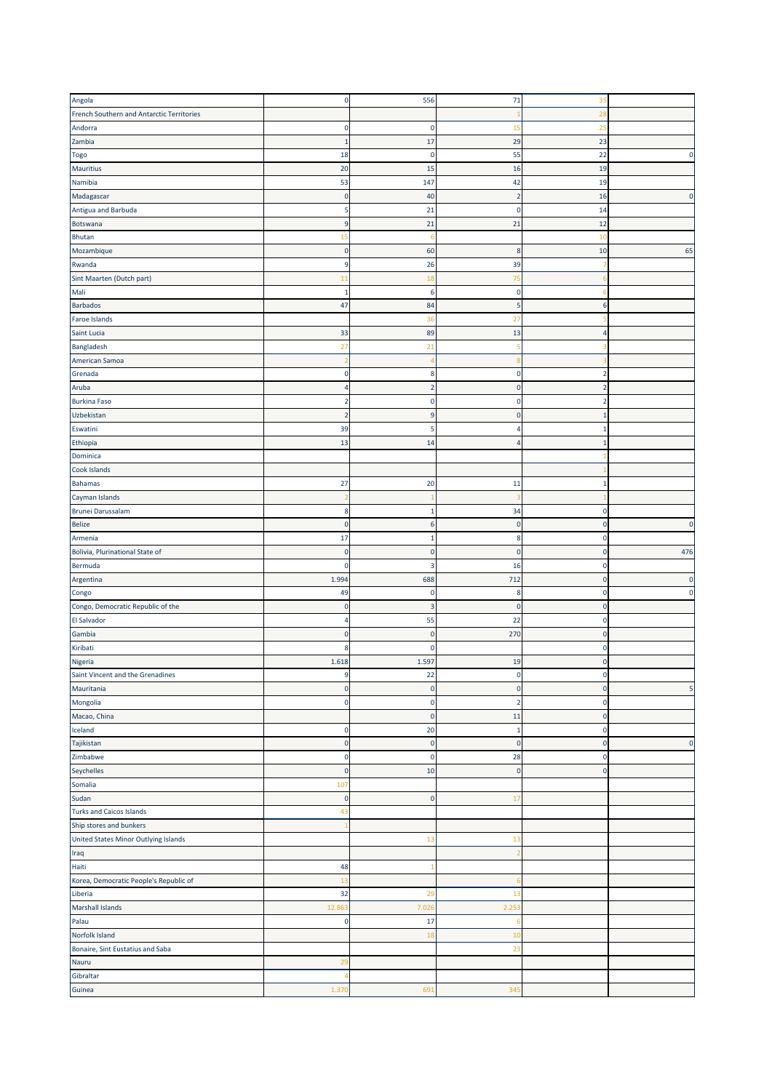| Angola                                    | $\pmb{0}$      | 556                | 71             | 35             |                         |
|-------------------------------------------|----------------|--------------------|----------------|----------------|-------------------------|
| French Southern and Antarctic Territories |                |                    |                | 2i             |                         |
| Andorra                                   | 0              | $\Omega$           | 15             | 25             |                         |
| Zambia                                    | $\mathbf{1}$   | 17                 | 29             | 23             |                         |
|                                           |                |                    |                |                |                         |
| Togo                                      | 18             | $\mathbf 0$        | 55             | 22             | $\mathbf{0}$            |
| <b>Mauritius</b>                          | 20             | 15                 | 16             | 19             |                         |
| Namibia                                   | 53             | 147                | 42             | 19             |                         |
| Madagascar                                | 0              | 40                 | $\overline{2}$ | 16             | $\mathbf{0}$            |
| Antigua and Barbuda                       | 5              | 21                 | $\overline{0}$ | 14             |                         |
| Botswana                                  | 9              | 21                 | 21             | 12             |                         |
| Bhutan                                    | 15             |                    |                | 10             |                         |
| Mozambique                                | $\pmb{0}$      | 60                 | 8              | 10             | 65                      |
| Rwanda                                    | 9              | 26                 | 39             |                |                         |
| Sint Maarten (Dutch part)                 | 11             | 18                 | 75             | 6              |                         |
| Mali                                      | $\mathbf{1}$   | 6                  | $\mathbf 0$    |                |                         |
| <b>Barbados</b>                           | 47             | 84                 | 5              | 6              |                         |
|                                           |                |                    |                |                |                         |
| Faroe Islands                             |                | 36                 | 27             |                |                         |
| Saint Lucia                               | 33             | 89                 | 13             | 4              |                         |
| Bangladesh                                | 27             | 21                 |                |                |                         |
| American Samoa                            |                |                    | - 2            |                |                         |
| Grenada                                   | 0              | 8                  | 0              | 2              |                         |
| Aruba                                     | 4              | $\overline{2}$     | $\overline{0}$ | $\mathbf 2$    |                         |
| <b>Burkina Faso</b>                       | 2              | $\Omega$           | 0              | $\overline{2}$ |                         |
| Uzbekistan                                | $\overline{2}$ | q                  | $\overline{0}$ | $1\,$          |                         |
| Eswatini                                  | 39             | 5                  | 4              | $\mathbf{1}$   |                         |
| Ethiopia                                  | 13             | 14                 | $\overline{4}$ | $1\,$          |                         |
| Dominica                                  |                |                    |                |                |                         |
| Cook Islands                              |                |                    |                |                |                         |
|                                           | 27             |                    |                | $\mathbf{1}$   |                         |
| <b>Bahamas</b>                            |                | 20                 | 11             |                |                         |
| Cayman Islands                            |                |                    |                |                |                         |
| <b>Brunei Darussalam</b>                  | 8              | -1                 | 34             | $\pmb{0}$      |                         |
| <b>Belize</b>                             | $\pmb{0}$      | 6                  | $\overline{0}$ | $\mathbf 0$    | $\overline{0}$          |
| Armenia                                   | 17             | -1                 | 8              | $\mathbf 0$    |                         |
| Bolivia, Plurinational State of           | $\pmb{0}$      | $\mathbf{0}$       | $\overline{0}$ | $\mathbf 0$    | 476                     |
| Bermuda                                   | $\pmb{0}$      | 3                  | 16             | $\mathbf 0$    |                         |
| Argentina                                 | 1.994          | 688                | 712            | $\pmb{0}$      | $\overline{0}$          |
| Congo                                     | 49             | $\mathbf 0$        | 8              | $\mathbf 0$    | $\boldsymbol{0}$        |
| Congo, Democratic Republic of the         |                | 3                  | $\overline{0}$ | $\mathbf 0$    |                         |
|                                           | $\pmb{0}$      |                    |                |                |                         |
|                                           | 4              |                    |                | $\pmb{0}$      |                         |
| El Salvador                               |                | 55<br>$\mathbf{0}$ | 22             |                |                         |
| Gambia                                    | $\pmb{0}$      | n                  | 270            | $\pmb{0}$      |                         |
| Kiribati                                  | 8              |                    |                | $\mathbf 0$    |                         |
| Nigeria                                   | 1.618          | 1.597              | 19             | $\Omega$       |                         |
| Saint Vincent and the Grenadines          | 9              | 22                 | $\mathbf 0$    | 0              |                         |
| Mauritania                                | $\pmb{0}$      | $\mathbf 0$        | $\pmb{0}$      | $\pmb{0}$      |                         |
| Mongolia                                  | $\pmb{0}$      | $\mathbf 0$        | $\overline{2}$ | $\pmb{0}$      |                         |
| Macao, China                              |                | $\mathbf 0$        | 11             | $\pmb{0}$      |                         |
| Iceland                                   | 0              | 20                 | $\mathbf{1}$   | $\pmb{0}$      | $\overline{\mathbf{5}}$ |
| Tajikistan                                | $\pmb{0}$      | $\mathbf 0$        | $\overline{0}$ | $\pmb{0}$      | $\mathbf{0}$            |
| Zimbabwe                                  | $\pmb{0}$      | $\mathbf 0$        | 28             | $\pmb{0}$      |                         |
| Seychelles                                | $\pmb{0}$      | 10                 | $\overline{0}$ | $\pmb{0}$      |                         |
| Somalia                                   | 107            |                    |                |                |                         |
| Sudan                                     | $\pmb{0}$      | $\mathbf 0$        | 17             |                |                         |
|                                           |                |                    |                |                |                         |
| <b>Turks and Caicos Islands</b>           | 43             |                    |                |                |                         |
| Ship stores and bunkers                   |                |                    |                |                |                         |
| United States Minor Outlying Islands      |                | 13                 | 13             |                |                         |
| Iraq                                      |                |                    | -2             |                |                         |
| Haiti                                     | 48             |                    |                |                |                         |
| Korea, Democratic People's Republic of    | 13             |                    | -6             |                |                         |
| Liberia                                   | 32             | 29                 | 13             |                |                         |
| <b>Marshall Islands</b>                   | 12.863         | 7.026              | 2.253          |                |                         |
| Palau                                     | $\pmb{0}$      | 17                 | -6             |                |                         |
| Norfolk Island                            |                | 18                 | 10             |                |                         |
| Bonaire, Sint Eustatius and Saba          |                |                    | 23             |                |                         |
| Nauru                                     | 29             |                    |                |                |                         |
| Gibraltar                                 | 7              |                    |                |                |                         |
| Guinea                                    | 1.370          | 691                | 345            |                |                         |